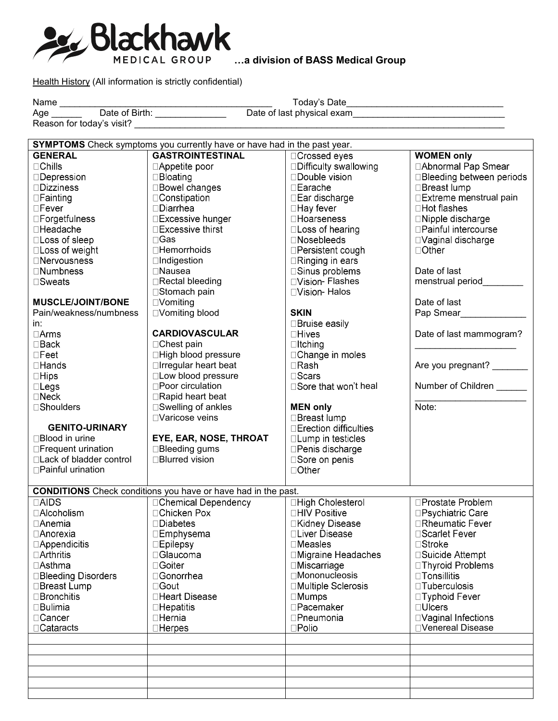

**…a division of BASS Medical Group** 

Health History (All information is strictly confidential)

|                          | SYMPTOMS Check symptoms you currently have or have had in the past year. |                        |                             |  |  |  |
|--------------------------|--------------------------------------------------------------------------|------------------------|-----------------------------|--|--|--|
| <b>GENERAL</b>           | <b>GASTROINTESTINAL</b>                                                  | □Crossed eyes          | <b>WOMEN only</b>           |  |  |  |
| $\Box$ Chills            | □Appetite poor                                                           | □Difficulty swallowing | □ Abnormal Pap Smear        |  |  |  |
| $\square$ Depression     | $\Box$ Bloating                                                          | □Double vision         | □Bleeding between periods   |  |  |  |
| $\square$ Dizziness      | □Bowel changes                                                           | □Earache               | □Breast lump                |  |  |  |
| $\Box$ Fainting          | □Constipation                                                            | □Ear discharge         | □ Extreme menstrual pain    |  |  |  |
| $\square$ Fever          | $\square$ Diarrhea                                                       | □Hay fever             | □Hot flashes                |  |  |  |
| □Forgetfulness           | □Excessive hunger                                                        | □Hoarseness            | □Nipple discharge           |  |  |  |
| □Headache                | $\square$ Excessive thirst                                               | $\Box$ Loss of hearing | □Painful intercourse        |  |  |  |
| □Loss of sleep           | $\Box$ Gas                                                               | $\Box$ Nosebleeds      | □Vaginal discharge          |  |  |  |
| □Loss of weight          | □Hemorrhoids                                                             | □Persistent cough      | $\Box$ Other                |  |  |  |
| □Nervousness             | □Indigestion                                                             | $\Box$ Ringing in ears |                             |  |  |  |
| $\square$ Numbness       | □Nausea                                                                  | □Sinus problems        | Date of last                |  |  |  |
| □Sweats                  | □Rectal bleeding                                                         | □Vision- Flashes       | menstrual period            |  |  |  |
|                          | □Stomach pain                                                            | □Vision- Halos         |                             |  |  |  |
| <b>MUSCLE/JOINT/BONE</b> | $\Box$ Vomiting                                                          |                        | Date of last                |  |  |  |
| Pain/weakness/numbness   | □Vomiting blood                                                          | <b>SKIN</b>            | Pap Smear <b>Department</b> |  |  |  |
| in:                      |                                                                          | □Bruise easily         |                             |  |  |  |
| $\Box$ Arms              | <b>CARDIOVASCULAR</b>                                                    | $\Box$ Hives           | Date of last mammogram?     |  |  |  |
| $\square$ Back           | □ Chest pain                                                             | $\Box$ Itching         |                             |  |  |  |
| $\square$ Feet           | □High blood pressure                                                     | □Change in moles       |                             |  |  |  |
| □Hands                   | □ Irregular heart beat                                                   | $\Box$ Rash            | Are you pregnant?           |  |  |  |
| $\Box$ Hips              | □Low blood pressure                                                      | $\square$ Scars        |                             |  |  |  |
| $\square$ Legs           | □Poor circulation                                                        | □Sore that won't heal  | Number of Children          |  |  |  |
| $\Box$ Neck              | □Rapid heart beat                                                        |                        |                             |  |  |  |
| □Shoulders               | □Swelling of ankles                                                      | <b>MEN only</b>        | Note:                       |  |  |  |
|                          | □Varicose veins                                                          | □Breast lump           |                             |  |  |  |
| <b>GENITO-URINARY</b>    |                                                                          | □Erection difficulties |                             |  |  |  |
| □Blood in urine          | EYE, EAR, NOSE, THROAT                                                   | □ Lump in testicles    |                             |  |  |  |
| □Frequent urination      | □Bleeding gums                                                           | □Penis discharge       |                             |  |  |  |
| □Lack of bladder control | □Blurred vision                                                          | □Sore on penis         |                             |  |  |  |
| □Painful urination       |                                                                          | □Other                 |                             |  |  |  |
|                          |                                                                          |                        |                             |  |  |  |
|                          | <b>CONDITIONS</b> Check conditions you have or have had in the past.     |                        |                             |  |  |  |
| $\Box$ AIDS              | □Chemical Dependency                                                     | □High Cholesterol      | □Prostate Problem           |  |  |  |
| □Alcoholism              | □Chicken Pox                                                             | □HIV Positive          | □Psychiatric Care           |  |  |  |
| $\Box$ Anemia            | □Diabetes                                                                | □Kidney Disease        | □Rheumatic Fever            |  |  |  |
| $\Box$ Anorexia          | □Emphysema                                                               | □Liver Disease         | □Scarlet Fever              |  |  |  |
| $\Box$ Appendicitis      | $\square$ Epilepsy                                                       | $\square$ Measles      | □Stroke                     |  |  |  |
| $\Box$ Arthritis         | □Glaucoma                                                                | □Migraine Headaches    | □Suicide Attempt            |  |  |  |
| $\Box$ Asthma            | $\Box$ Goiter                                                            | $\square$ Miscarriage  | □Thyroid Problems           |  |  |  |
| □Bleeding Disorders      | □Gonorrhea                                                               | □Mononucleosis         | $\Box$ Tonsillitis          |  |  |  |
| □Breast Lump             | $\Box$ Gout                                                              | □Multiple Sclerosis    | $\Box$ Tuberculosis         |  |  |  |
| $\Box$ Bronchitis        | □Heart Disease                                                           | $\square$ Mumps        | □Typhoid Fever              |  |  |  |
| <b>□Bulimia</b>          | $\square$ Hepatitis                                                      | □Pacemaker             | $\Box$ Ulcers               |  |  |  |
| □Cancer                  | □Hernia                                                                  | □Pneumonia             | □Vaginal Infections         |  |  |  |
| □Cataracts               | $\Box$ Herpes                                                            | $\square$ Polio        | □Venereal Disease           |  |  |  |
|                          |                                                                          |                        |                             |  |  |  |
|                          |                                                                          |                        |                             |  |  |  |
|                          |                                                                          |                        |                             |  |  |  |
|                          |                                                                          |                        |                             |  |  |  |
|                          |                                                                          |                        |                             |  |  |  |